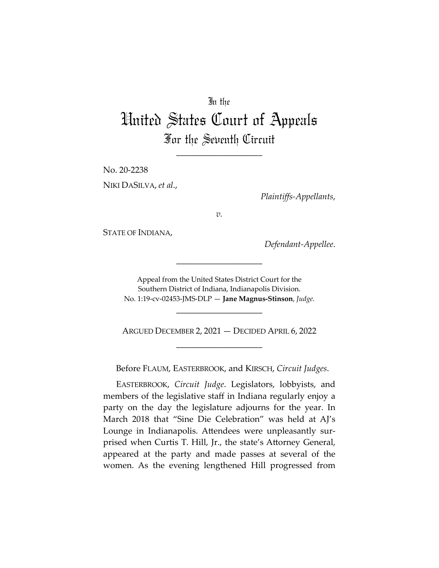## In the

## United States Court of Appeals For the Seventh Circuit

\_\_\_\_\_\_\_\_\_\_\_\_\_\_\_\_\_\_\_\_

No. 20-2238 NIKI DASILVA, *et al.*,

*Plaintiffs-Appellants*,

*v.*

STATE OF INDIANA,

*Defendant-Appellee*.

Appeal from the United States District Court for the Southern District of Indiana, Indianapolis Division. No. 1:19-cv-02453-JMS-DLP — **Jane Magnus-Stinson**, *Judge*.

\_\_\_\_\_\_\_\_\_\_\_\_\_\_\_\_\_\_\_\_

ARGUED DECEMBER 2, 2021 — DECIDED APRIL 6, 2022 \_\_\_\_\_\_\_\_\_\_\_\_\_\_\_\_\_\_\_\_

\_\_\_\_\_\_\_\_\_\_\_\_\_\_\_\_\_\_\_\_

Before FLAUM, EASTERBROOK, and KIRSCH, *Circuit Judges*.

EASTERBROOK, *Circuit Judge*. Legislators, lobbyists, and members of the legislative staff in Indiana regularly enjoy a party on the day the legislature adjourns for the year. In March 2018 that "Sine Die Celebration" was held at AJ's Lounge in Indianapolis. Attendees were unpleasantly surprised when Curtis T. Hill, Jr., the state's Attorney General, appeared at the party and made passes at several of the women. As the evening lengthened Hill progressed from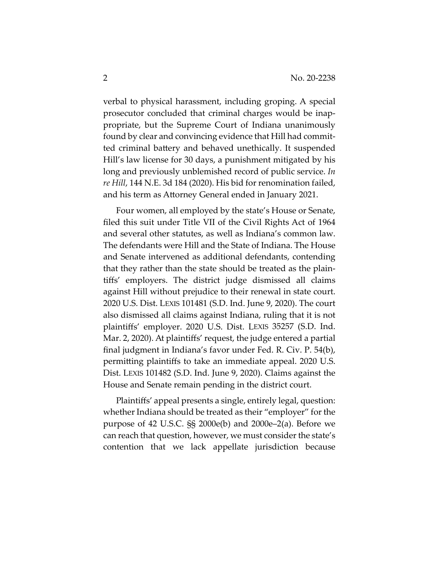verbal to physical harassment, including groping. A special prosecutor concluded that criminal charges would be inappropriate, but the Supreme Court of Indiana unanimously found by clear and convincing evidence that Hill had committed criminal battery and behaved unethically. It suspended Hill's law license for 30 days, a punishment mitigated by his long and previously unblemished record of public service. *In re Hill*, 144 N.E. 3d 184 (2020). His bid for renomination failed, and his term as Attorney General ended in January 2021.

Four women, all employed by the state's House or Senate, filed this suit under Title VII of the Civil Rights Act of 1964 and several other statutes, as well as Indiana's common law. The defendants were Hill and the State of Indiana. The House and Senate intervened as additional defendants, contending that they rather than the state should be treated as the plaintiffs' employers. The district judge dismissed all claims against Hill without prejudice to their renewal in state court. 2020 U.S. Dist. LEXIS 101481 (S.D. Ind. June 9, 2020). The court also dismissed all claims against Indiana, ruling that it is not plaintiffs' employer. 2020 U.S. Dist. LEXIS 35257 (S.D. Ind. Mar. 2, 2020). At plaintiffs' request, the judge entered a partial final judgment in Indiana's favor under Fed. R. Civ. P. 54(b), permitting plaintiffs to take an immediate appeal. 2020 U.S. Dist. LEXIS 101482 (S.D. Ind. June 9, 2020). Claims against the House and Senate remain pending in the district court.

Plaintiffs' appeal presents a single, entirely legal, question: whether Indiana should be treated as their "employer" for the purpose of 42 U.S.C. §§ 2000e(b) and 2000e–2(a). Before we can reach that question, however, we must consider the state's contention that we lack appellate jurisdiction because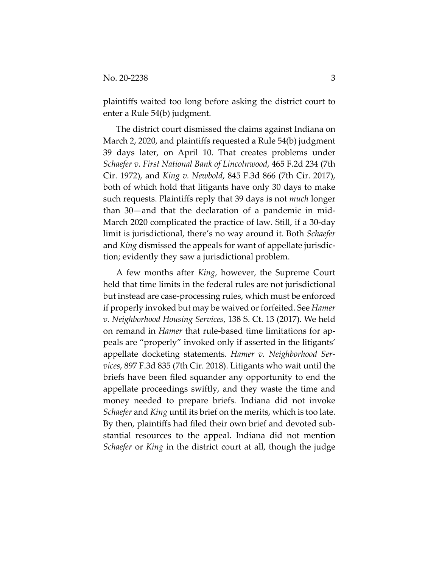plaintiffs waited too long before asking the district court to enter a Rule 54(b) judgment.

The district court dismissed the claims against Indiana on March 2, 2020, and plaintiffs requested a Rule 54(b) judgment 39 days later, on April 10. That creates problems under *Schaefer v. First National Bank of Lincolnwood*, 465 F.2d 234 (7th Cir. 1972), and *King v. Newbold*, 845 F.3d 866 (7th Cir. 2017), both of which hold that litigants have only 30 days to make such requests. Plaintiffs reply that 39 days is not *much* longer than 30—and that the declaration of a pandemic in mid-March 2020 complicated the practice of law. Still, if a 30-day limit is jurisdictional, there's no way around it. Both *Schaefer* and *King* dismissed the appeals for want of appellate jurisdiction; evidently they saw a jurisdictional problem.

A few months after *King*, however, the Supreme Court held that time limits in the federal rules are not jurisdictional but instead are case-processing rules, which must be enforced if properly invoked but may be waived or forfeited. See *Hamer v. Neighborhood Housing Services*, 138 S. Ct. 13 (2017). We held on remand in *Hamer* that rule-based time limitations for appeals are "properly" invoked only if asserted in the litigants' appellate docketing statements. *Hamer v. Neighborhood Services*, 897 F.3d 835 (7th Cir. 2018). Litigants who wait until the briefs have been filed squander any opportunity to end the appellate proceedings swiftly, and they waste the time and money needed to prepare briefs. Indiana did not invoke *Schaefer* and *King* until its brief on the merits, which is too late. By then, plaintiffs had filed their own brief and devoted substantial resources to the appeal. Indiana did not mention *Schaefer* or *King* in the district court at all, though the judge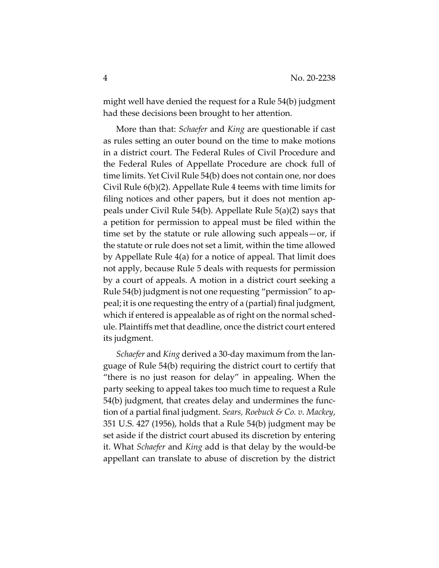might well have denied the request for a Rule 54(b) judgment had these decisions been brought to her attention.

More than that: *Schaefer* and *King* are questionable if cast as rules setting an outer bound on the time to make motions in a district court. The Federal Rules of Civil Procedure and the Federal Rules of Appellate Procedure are chock full of time limits. Yet Civil Rule 54(b) does not contain one, nor does Civil Rule 6(b)(2). Appellate Rule 4 teems with time limits for filing notices and other papers, but it does not mention appeals under Civil Rule 54(b). Appellate Rule 5(a)(2) says that a petition for permission to appeal must be filed within the time set by the statute or rule allowing such appeals—or, if the statute or rule does not set a limit, within the time allowed by Appellate Rule 4(a) for a notice of appeal. That limit does not apply, because Rule 5 deals with requests for permission by a court of appeals. A motion in a district court seeking a Rule 54(b) judgment is not one requesting "permission" to appeal; it is one requesting the entry of a (partial) final judgment, which if entered is appealable as of right on the normal schedule. Plaintiffs met that deadline, once the district court entered its judgment.

*Schaefer* and *King* derived a 30-day maximum from the language of Rule 54(b) requiring the district court to certify that "there is no just reason for delay" in appealing. When the party seeking to appeal takes too much time to request a Rule 54(b) judgment, that creates delay and undermines the function of a partial final judgment. *Sears, Roebuck & Co. v. Mackey*, 351 U.S. 427 (1956), holds that a Rule 54(b) judgment may be set aside if the district court abused its discretion by entering it. What *Schaefer* and *King* add is that delay by the would-be appellant can translate to abuse of discretion by the district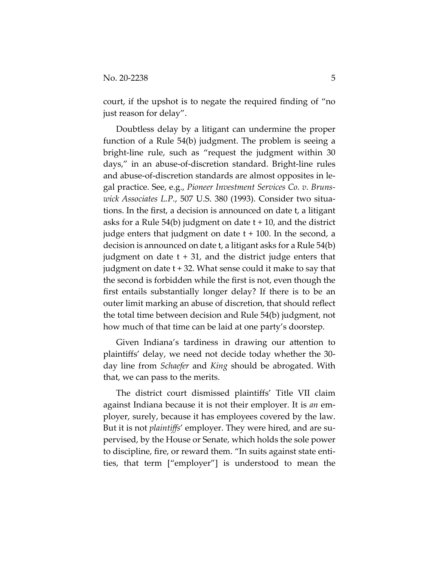court, if the upshot is to negate the required finding of "no just reason for delay".

Doubtless delay by a litigant can undermine the proper function of a Rule 54(b) judgment. The problem is seeing a bright-line rule, such as "request the judgment within 30 days," in an abuse-of-discretion standard. Bright-line rules and abuse-of-discretion standards are almost opposites in legal practice. See, e.g., *Pioneer Investment Services Co. v. Brunswick Associates L.P.*, 507 U.S. 380 (1993). Consider two situations. In the first, a decision is announced on date t, a litigant asks for a Rule  $54(b)$  judgment on date  $t + 10$ , and the district judge enters that judgment on date t + 100. In the second, a decision is announced on date t, a litigant asks for a Rule 54(b) judgment on date  $t + 31$ , and the district judge enters that judgment on date  $t + 32$ . What sense could it make to say that the second is forbidden while the first is not, even though the first entails substantially longer delay? If there is to be an outer limit marking an abuse of discretion, that should reflect the total time between decision and Rule 54(b) judgment, not how much of that time can be laid at one party's doorstep.

Given Indiana's tardiness in drawing our attention to plaintiffs' delay, we need not decide today whether the 30 day line from *Schaefer* and *King* should be abrogated. With that, we can pass to the merits.

The district court dismissed plaintiffs' Title VII claim against Indiana because it is not their employer. It is *an* employer, surely, because it has employees covered by the law. But it is not *plaintiffs*' employer. They were hired, and are supervised, by the House or Senate, which holds the sole power to discipline, fire, or reward them. "In suits against state entities, that term ["employer"] is understood to mean the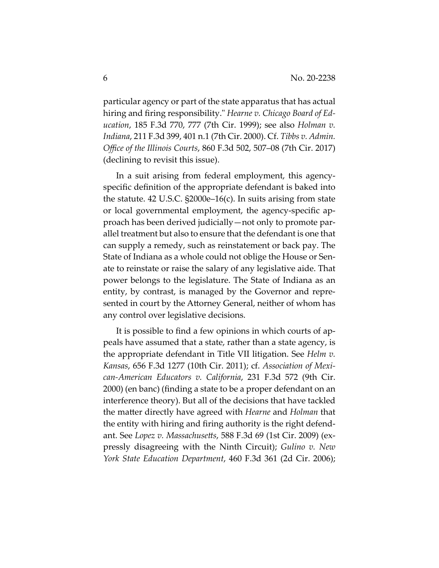particular agency or part of the state apparatus that has actual hiring and firing responsibility." *Hearne v. Chicago Board of Education*, 185 F.3d 770, 777 (7th Cir. 1999); see also *Holman v. Indiana*, 211 F.3d 399, 401 n.1 (7th Cir. 2000). Cf. *Tibbs v. Admin. Office of the Illinois Courts*, 860 F.3d 502, 507–08 (7th Cir. 2017) (declining to revisit this issue).

In a suit arising from federal employment, this agencyspecific definition of the appropriate defendant is baked into the statute. 42 U.S.C. §2000e–16(c). In suits arising from state or local governmental employment, the agency-specific approach has been derived judicially—not only to promote parallel treatment but also to ensure that the defendant is one that can supply a remedy, such as reinstatement or back pay. The State of Indiana as a whole could not oblige the House or Senate to reinstate or raise the salary of any legislative aide. That power belongs to the legislature. The State of Indiana as an entity, by contrast, is managed by the Governor and represented in court by the Attorney General, neither of whom has any control over legislative decisions.

It is possible to find a few opinions in which courts of appeals have assumed that a state, rather than a state agency, is the appropriate defendant in Title VII litigation. See *Helm v. Kansas*, 656 F.3d 1277 (10th Cir. 2011); cf. *Association of Mexican-American Educators v. California*, 231 F.3d 572 (9th Cir. 2000) (en banc) (finding a state to be a proper defendant on an interference theory). But all of the decisions that have tackled the matter directly have agreed with *Hearne* and *Holman* that the entity with hiring and firing authority is the right defendant. See *Lopez v. Massachusetts,* 588 F.3d 69 (1st Cir. 2009) (expressly disagreeing with the Ninth Circuit); *Gulino v. New York State Education Department*, 460 F.3d 361 (2d Cir. 2006);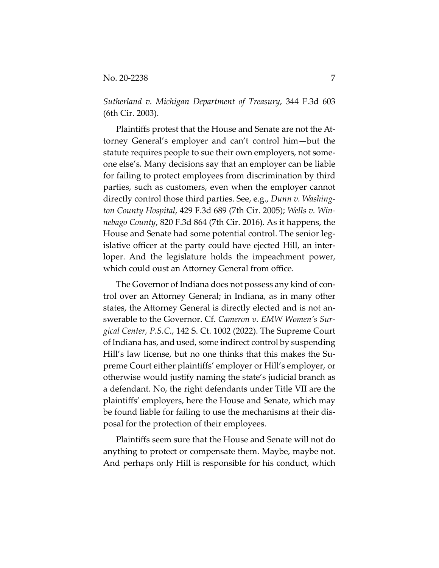*Sutherland v. Michigan Department of Treasury*, 344 F.3d 603 (6th Cir. 2003).

Plaintiffs protest that the House and Senate are not the Attorney General's employer and can't control him—but the statute requires people to sue their own employers, not someone else's. Many decisions say that an employer can be liable for failing to protect employees from discrimination by third parties, such as customers, even when the employer cannot directly control those third parties. See, e.g., *Dunn v. Washington County Hospital*, 429 F.3d 689 (7th Cir. 2005); *Wells v. Winnebago County*, 820 F.3d 864 (7th Cir. 2016). As it happens, the House and Senate had some potential control. The senior legislative officer at the party could have ejected Hill, an interloper. And the legislature holds the impeachment power, which could oust an Attorney General from office.

The Governor of Indiana does not possess any kind of control over an Attorney General; in Indiana, as in many other states, the Attorney General is directly elected and is not answerable to the Governor. Cf. *Cameron v. EMW Women's Surgical Center, P.S.C*., 142 S. Ct. 1002 (2022). The Supreme Court of Indiana has, and used, some indirect control by suspending Hill's law license, but no one thinks that this makes the Supreme Court either plaintiffs' employer or Hill's employer, or otherwise would justify naming the state's judicial branch as a defendant. No, the right defendants under Title VII are the plaintiffs' employers, here the House and Senate, which may be found liable for failing to use the mechanisms at their disposal for the protection of their employees.

Plaintiffs seem sure that the House and Senate will not do anything to protect or compensate them. Maybe, maybe not. And perhaps only Hill is responsible for his conduct, which